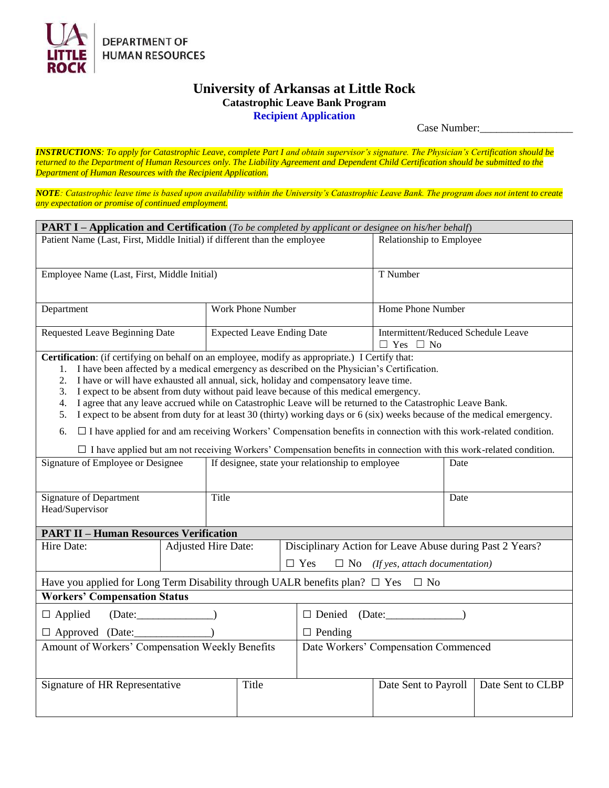

## **University of Arkansas at Little Rock Catastrophic Leave Bank Program Recipient Application**

Case Number:

*INSTRUCTIONS: To apply for Catastrophic Leave, complete Part I and obtain supervisor's signature. The Physician's Certification should be returned to the Department of Human Resources only. The Liability Agreement and Dependent Child Certification should be submitted to the Department of Human Resources with the Recipient Application.*

*NOTE: Catastrophic leave time is based upon availability within the University's Catastrophic Leave Bank. The program does not intent to create any expectation or promise of continued employment.*

| <b>PART I - Application and Certification</b> (To be completed by applicant or designee on his/her behalf)                                                                                                                                                                                                                                                                                                                                                                                                                                                                                                                                                                                                                                                                                                                                                                                                      |                                                        |                                                          |                                                             |                   |  |  |  |  |
|-----------------------------------------------------------------------------------------------------------------------------------------------------------------------------------------------------------------------------------------------------------------------------------------------------------------------------------------------------------------------------------------------------------------------------------------------------------------------------------------------------------------------------------------------------------------------------------------------------------------------------------------------------------------------------------------------------------------------------------------------------------------------------------------------------------------------------------------------------------------------------------------------------------------|--------------------------------------------------------|----------------------------------------------------------|-------------------------------------------------------------|-------------------|--|--|--|--|
| Patient Name (Last, First, Middle Initial) if different than the employee                                                                                                                                                                                                                                                                                                                                                                                                                                                                                                                                                                                                                                                                                                                                                                                                                                       | Relationship to Employee                               |                                                          |                                                             |                   |  |  |  |  |
| Employee Name (Last, First, Middle Initial)                                                                                                                                                                                                                                                                                                                                                                                                                                                                                                                                                                                                                                                                                                                                                                                                                                                                     |                                                        |                                                          | T Number                                                    |                   |  |  |  |  |
| Department                                                                                                                                                                                                                                                                                                                                                                                                                                                                                                                                                                                                                                                                                                                                                                                                                                                                                                      |                                                        | Work Phone Number<br>Home Phone Number                   |                                                             |                   |  |  |  |  |
| Requested Leave Beginning Date                                                                                                                                                                                                                                                                                                                                                                                                                                                                                                                                                                                                                                                                                                                                                                                                                                                                                  | <b>Expected Leave Ending Date</b>                      |                                                          | Intermittent/Reduced Schedule Leave<br>$\Box$ Yes $\Box$ No |                   |  |  |  |  |
| Certification: (if certifying on behalf on an employee, modify as appropriate.) I Certify that:<br>1. I have been affected by a medical emergency as described on the Physician's Certification.<br>I have or will have exhausted all annual, sick, holiday and compensatory leave time.<br>2.<br>I expect to be absent from duty without paid leave because of this medical emergency.<br>3.<br>I agree that any leave accrued while on Catastrophic Leave will be returned to the Catastrophic Leave Bank.<br>4.<br>I expect to be absent from duty for at least 30 (thirty) working days or 6 (six) weeks because of the medical emergency.<br>5.<br>$\Box$ I have applied for and am receiving Workers' Compensation benefits in connection with this work-related condition.<br>6.<br>□ I have applied but am not receiving Workers' Compensation benefits in connection with this work-related condition. |                                                        |                                                          |                                                             |                   |  |  |  |  |
| Signature of Employee or Designee                                                                                                                                                                                                                                                                                                                                                                                                                                                                                                                                                                                                                                                                                                                                                                                                                                                                               |                                                        | If designee, state your relationship to employee<br>Date |                                                             |                   |  |  |  |  |
| <b>Signature of Department</b><br>Head/Supervisor                                                                                                                                                                                                                                                                                                                                                                                                                                                                                                                                                                                                                                                                                                                                                                                                                                                               | Date                                                   |                                                          |                                                             |                   |  |  |  |  |
| <b>PART II - Human Resources Verification</b>                                                                                                                                                                                                                                                                                                                                                                                                                                                                                                                                                                                                                                                                                                                                                                                                                                                                   |                                                        |                                                          |                                                             |                   |  |  |  |  |
| Hire Date:                                                                                                                                                                                                                                                                                                                                                                                                                                                                                                                                                                                                                                                                                                                                                                                                                                                                                                      | <b>Adjusted Hire Date:</b>                             | Disciplinary Action for Leave Abuse during Past 2 Years? |                                                             |                   |  |  |  |  |
|                                                                                                                                                                                                                                                                                                                                                                                                                                                                                                                                                                                                                                                                                                                                                                                                                                                                                                                 | $\Box$ Yes<br>$\Box$ No (If yes, attach documentation) |                                                          |                                                             |                   |  |  |  |  |
| Have you applied for Long Term Disability through UALR benefits plan? $\Box$ Yes $\Box$ No                                                                                                                                                                                                                                                                                                                                                                                                                                                                                                                                                                                                                                                                                                                                                                                                                      |                                                        |                                                          |                                                             |                   |  |  |  |  |
| <b>Workers' Compensation Status</b>                                                                                                                                                                                                                                                                                                                                                                                                                                                                                                                                                                                                                                                                                                                                                                                                                                                                             |                                                        |                                                          |                                                             |                   |  |  |  |  |
| (Date:<br>$\Box$ Applied                                                                                                                                                                                                                                                                                                                                                                                                                                                                                                                                                                                                                                                                                                                                                                                                                                                                                        | $\Box$ Denied (Date: $\Box$ )                          |                                                          |                                                             |                   |  |  |  |  |
| □ Approved (Date: _____________                                                                                                                                                                                                                                                                                                                                                                                                                                                                                                                                                                                                                                                                                                                                                                                                                                                                                 | $\Box$ Pending                                         |                                                          |                                                             |                   |  |  |  |  |
| Amount of Workers' Compensation Weekly Benefits                                                                                                                                                                                                                                                                                                                                                                                                                                                                                                                                                                                                                                                                                                                                                                                                                                                                 |                                                        | Date Workers' Compensation Commenced                     |                                                             |                   |  |  |  |  |
| Signature of HR Representative<br>Title                                                                                                                                                                                                                                                                                                                                                                                                                                                                                                                                                                                                                                                                                                                                                                                                                                                                         |                                                        |                                                          | Date Sent to Payroll                                        | Date Sent to CLBP |  |  |  |  |